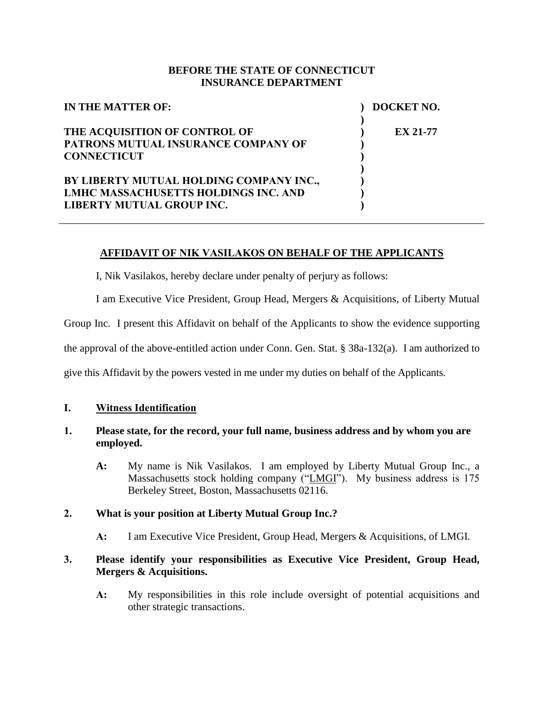## **BEFORE THE STATE OF CONNECTICUT INSURANCE DEPARTMENT**

| IN THE MATTER OF:                                                    | DOCKET NO.      |
|----------------------------------------------------------------------|-----------------|
| THE ACQUISITION OF CONTROL OF<br>PATRONS MUTUAL INSURANCE COMPANY OF | <b>EX 21-77</b> |
| <b>CONNECTICUT</b>                                                   |                 |
| BY LIBERTY MUTUAL HOLDING COMPANY INC.,                              |                 |
| <b>LMHC MASSACHUSETTS HOLDINGS INC. AND</b>                          |                 |
| LIBERTY MUTUAL GROUP INC.                                            |                 |

## **AFFIDAVIT OF NIK VASILAKOS ON BEHALF OF THE APPLICANTS**

I, Nik Vasilakos, hereby declare under penalty of perjury as follows:

I am Executive Vice President, Group Head, Mergers & Acquisitions, of Liberty Mutual

Group Inc. I present this Affidavit on behalf of the Applicants to show the evidence supporting

the approval of the above-entitled action under Conn. Gen. Stat. § 38a-132(a). I am authorized to

give this Affidavit by the powers vested in me under my duties on behalf of the Applicants.

## **I. Witness Identification**

# **1. Please state, for the record, your full name, business address and by whom you are employed.**

**A:** My name is Nik Vasilakos. I am employed by Liberty Mutual Group Inc., a Massachusetts stock holding company ("LMGI"). My business address is 175 Berkeley Street, Boston, Massachusetts 02116.

## **2. What is your position at Liberty Mutual Group Inc.?**

**A:** I am Executive Vice President, Group Head, Mergers & Acquisitions, of LMGI.

# **3. Please identify your responsibilities as Executive Vice President, Group Head, Mergers & Acquisitions.**

**A:** My responsibilities in this role include oversight of potential acquisitions and other strategic transactions.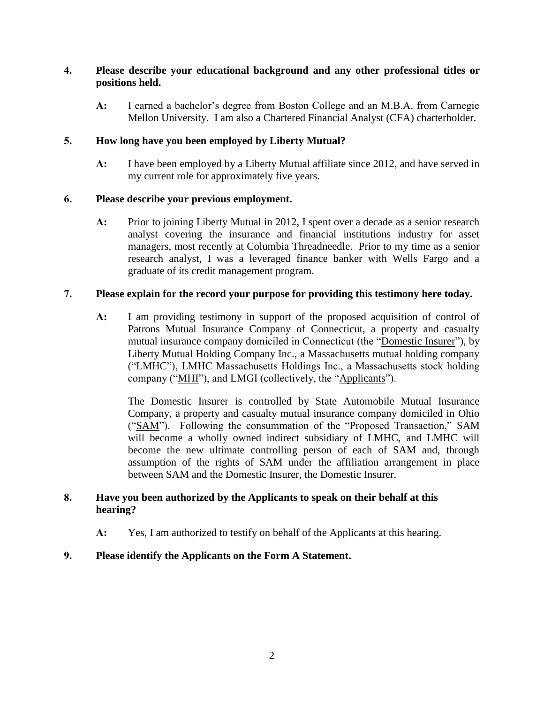## **4. Please describe your educational background and any other professional titles or positions held.**

**A:** I earned a bachelor's degree from Boston College and an M.B.A. from Carnegie Mellon University. I am also a Chartered Financial Analyst (CFA) charterholder.

## **5. How long have you been employed by Liberty Mutual?**

**A:** I have been employed by a Liberty Mutual affiliate since 2012, and have served in my current role for approximately five years.

## **6. Please describe your previous employment.**

**A:** Prior to joining Liberty Mutual in 2012, I spent over a decade as a senior research analyst covering the insurance and financial institutions industry for asset managers, most recently at Columbia Threadneedle. Prior to my time as a senior research analyst, I was a leveraged finance banker with Wells Fargo and a graduate of its credit management program.

## **7. Please explain for the record your purpose for providing this testimony here today.**

**A:** I am providing testimony in support of the proposed acquisition of control of Patrons Mutual Insurance Company of Connecticut, a property and casualty mutual insurance company domiciled in Connecticut (the "Domestic Insurer"), by Liberty Mutual Holding Company Inc., a Massachusetts mutual holding company ("LMHC"), LMHC Massachusetts Holdings Inc., a Massachusetts stock holding company ("MHI"), and LMGI (collectively, the "Applicants").

The Domestic Insurer is controlled by State Automobile Mutual Insurance Company, a property and casualty mutual insurance company domiciled in Ohio ("SAM"). Following the consummation of the "Proposed Transaction," SAM will become a wholly owned indirect subsidiary of LMHC, and LMHC will become the new ultimate controlling person of each of SAM and, through assumption of the rights of SAM under the affiliation arrangement in place between SAM and the Domestic Insurer, the Domestic Insurer.

# **8. Have you been authorized by the Applicants to speak on their behalf at this hearing?**

**A:** Yes, I am authorized to testify on behalf of the Applicants at this hearing.

## **9. Please identify the Applicants on the Form A Statement.**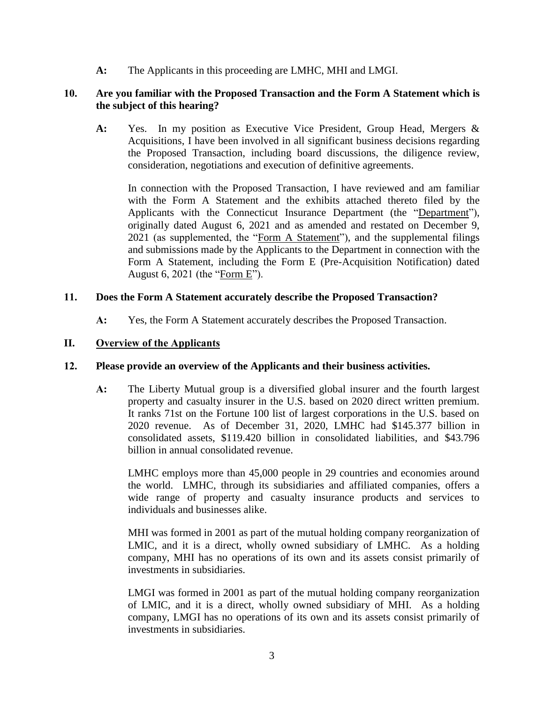**A:** The Applicants in this proceeding are LMHC, MHI and LMGI.

## **10. Are you familiar with the Proposed Transaction and the Form A Statement which is the subject of this hearing?**

**A:** Yes. In my position as Executive Vice President, Group Head, Mergers & Acquisitions, I have been involved in all significant business decisions regarding the Proposed Transaction, including board discussions, the diligence review, consideration, negotiations and execution of definitive agreements.

In connection with the Proposed Transaction, I have reviewed and am familiar with the Form A Statement and the exhibits attached thereto filed by the Applicants with the Connecticut Insurance Department (the "Department"), originally dated August 6, 2021 and as amended and restated on December 9, 2021 (as supplemented, the "Form A Statement"), and the supplemental filings and submissions made by the Applicants to the Department in connection with the Form A Statement, including the Form E (Pre-Acquisition Notification) dated August 6, 2021 (the "Form E").

## **11. Does the Form A Statement accurately describe the Proposed Transaction?**

**A:** Yes, the Form A Statement accurately describes the Proposed Transaction.

## **II. Overview of the Applicants**

## **12. Please provide an overview of the Applicants and their business activities.**

**A:** The Liberty Mutual group is a diversified global insurer and the fourth largest property and casualty insurer in the U.S. based on 2020 direct written premium. It ranks 71st on the Fortune 100 list of largest corporations in the U.S. based on 2020 revenue. As of December 31, 2020, LMHC had \$145.377 billion in consolidated assets, \$119.420 billion in consolidated liabilities, and \$43.796 billion in annual consolidated revenue.

LMHC employs more than 45,000 people in 29 countries and economies around the world. LMHC, through its subsidiaries and affiliated companies, offers a wide range of property and casualty insurance products and services to individuals and businesses alike.

MHI was formed in 2001 as part of the mutual holding company reorganization of LMIC, and it is a direct, wholly owned subsidiary of LMHC. As a holding company, MHI has no operations of its own and its assets consist primarily of investments in subsidiaries.

LMGI was formed in 2001 as part of the mutual holding company reorganization of LMIC, and it is a direct, wholly owned subsidiary of MHI. As a holding company, LMGI has no operations of its own and its assets consist primarily of investments in subsidiaries.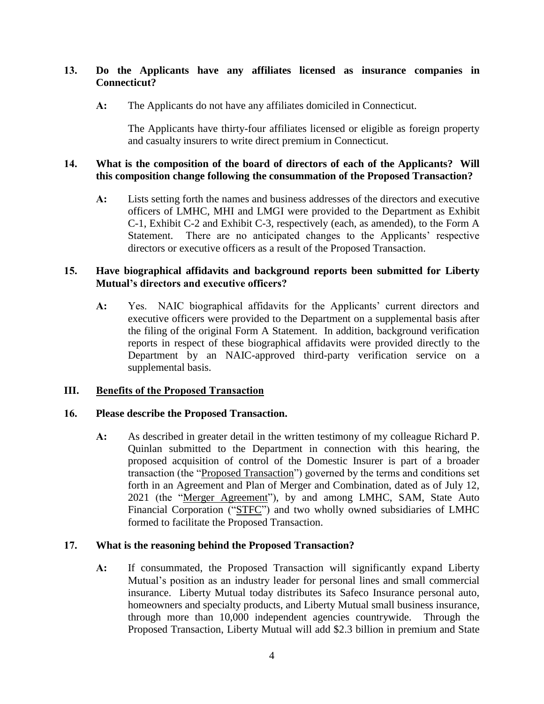# **13. Do the Applicants have any affiliates licensed as insurance companies in Connecticut?**

**A:** The Applicants do not have any affiliates domiciled in Connecticut.

The Applicants have thirty-four affiliates licensed or eligible as foreign property and casualty insurers to write direct premium in Connecticut.

## **14. What is the composition of the board of directors of each of the Applicants? Will this composition change following the consummation of the Proposed Transaction?**

**A:** Lists setting forth the names and business addresses of the directors and executive officers of LMHC, MHI and LMGI were provided to the Department as Exhibit C-1, Exhibit C-2 and Exhibit C-3, respectively (each, as amended), to the Form A Statement. There are no anticipated changes to the Applicants' respective directors or executive officers as a result of the Proposed Transaction.

# **15. Have biographical affidavits and background reports been submitted for Liberty Mutual's directors and executive officers?**

**A:** Yes. NAIC biographical affidavits for the Applicants' current directors and executive officers were provided to the Department on a supplemental basis after the filing of the original Form A Statement. In addition, background verification reports in respect of these biographical affidavits were provided directly to the Department by an NAIC-approved third-party verification service on a supplemental basis.

## **III. Benefits of the Proposed Transaction**

## **16. Please describe the Proposed Transaction.**

**A:** As described in greater detail in the written testimony of my colleague Richard P. Quinlan submitted to the Department in connection with this hearing, the proposed acquisition of control of the Domestic Insurer is part of a broader transaction (the "Proposed Transaction") governed by the terms and conditions set forth in an Agreement and Plan of Merger and Combination, dated as of July 12, 2021 (the "Merger Agreement"), by and among LMHC, SAM, State Auto Financial Corporation ("STFC") and two wholly owned subsidiaries of LMHC formed to facilitate the Proposed Transaction.

## **17. What is the reasoning behind the Proposed Transaction?**

**A:** If consummated, the Proposed Transaction will significantly expand Liberty Mutual's position as an industry leader for personal lines and small commercial insurance. Liberty Mutual today distributes its Safeco Insurance personal auto, homeowners and specialty products, and Liberty Mutual small business insurance, through more than 10,000 independent agencies countrywide. Through the Proposed Transaction, Liberty Mutual will add \$2.3 billion in premium and State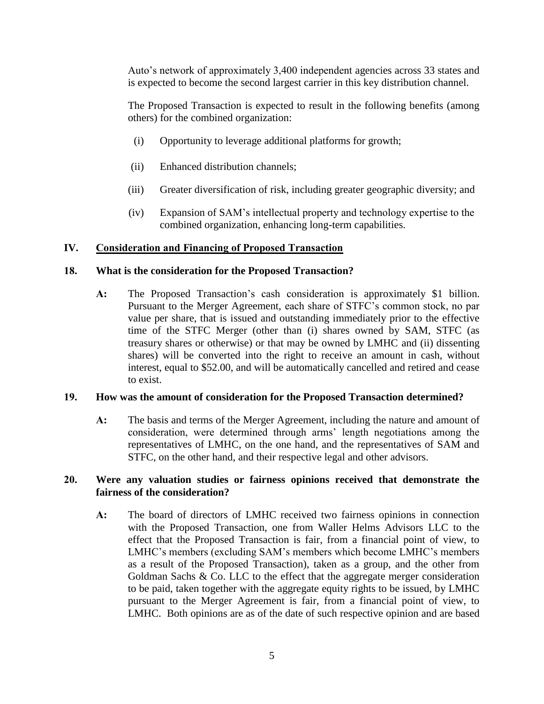Auto's network of approximately 3,400 independent agencies across 33 states and is expected to become the second largest carrier in this key distribution channel.

The Proposed Transaction is expected to result in the following benefits (among others) for the combined organization:

- (i) Opportunity to leverage additional platforms for growth;
- (ii) Enhanced distribution channels;
- (iii) Greater diversification of risk, including greater geographic diversity; and
- (iv) Expansion of SAM's intellectual property and technology expertise to the combined organization, enhancing long-term capabilities.

## **IV. Consideration and Financing of Proposed Transaction**

### **18. What is the consideration for the Proposed Transaction?**

**A:** The Proposed Transaction's cash consideration is approximately \$1 billion. Pursuant to the Merger Agreement, each share of STFC's common stock, no par value per share, that is issued and outstanding immediately prior to the effective time of the STFC Merger (other than (i) shares owned by SAM, STFC (as treasury shares or otherwise) or that may be owned by LMHC and (ii) dissenting shares) will be converted into the right to receive an amount in cash, without interest, equal to \$52.00, and will be automatically cancelled and retired and cease to exist.

#### **19. How was the amount of consideration for the Proposed Transaction determined?**

**A:** The basis and terms of the Merger Agreement, including the nature and amount of consideration, were determined through arms' length negotiations among the representatives of LMHC, on the one hand, and the representatives of SAM and STFC, on the other hand, and their respective legal and other advisors.

## **20. Were any valuation studies or fairness opinions received that demonstrate the fairness of the consideration?**

**A:** The board of directors of LMHC received two fairness opinions in connection with the Proposed Transaction, one from Waller Helms Advisors LLC to the effect that the Proposed Transaction is fair, from a financial point of view, to LMHC's members (excluding SAM's members which become LMHC's members as a result of the Proposed Transaction), taken as a group, and the other from Goldman Sachs & Co. LLC to the effect that the aggregate merger consideration to be paid, taken together with the aggregate equity rights to be issued, by LMHC pursuant to the Merger Agreement is fair, from a financial point of view, to LMHC. Both opinions are as of the date of such respective opinion and are based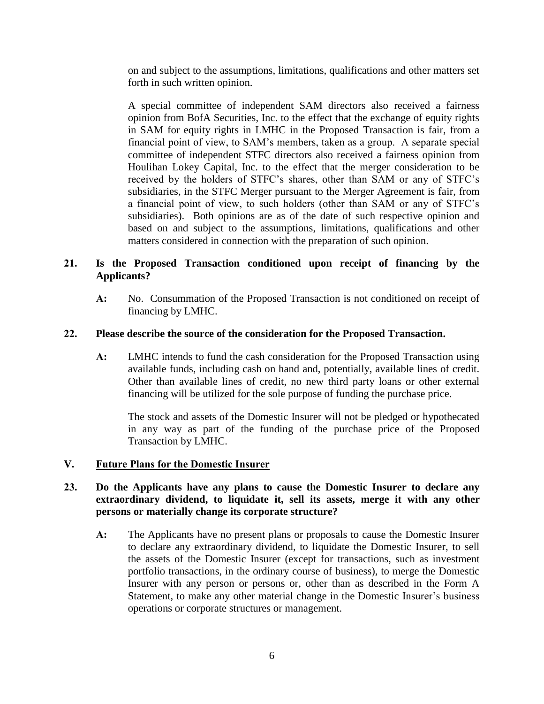on and subject to the assumptions, limitations, qualifications and other matters set forth in such written opinion.

A special committee of independent SAM directors also received a fairness opinion from BofA Securities, Inc. to the effect that the exchange of equity rights in SAM for equity rights in LMHC in the Proposed Transaction is fair, from a financial point of view, to SAM's members, taken as a group. A separate special committee of independent STFC directors also received a fairness opinion from Houlihan Lokey Capital, Inc. to the effect that the merger consideration to be received by the holders of STFC's shares, other than SAM or any of STFC's subsidiaries, in the STFC Merger pursuant to the Merger Agreement is fair, from a financial point of view, to such holders (other than SAM or any of STFC's subsidiaries). Both opinions are as of the date of such respective opinion and based on and subject to the assumptions, limitations, qualifications and other matters considered in connection with the preparation of such opinion.

# **21. Is the Proposed Transaction conditioned upon receipt of financing by the Applicants?**

**A:** No. Consummation of the Proposed Transaction is not conditioned on receipt of financing by LMHC.

## **22. Please describe the source of the consideration for the Proposed Transaction.**

**A:** LMHC intends to fund the cash consideration for the Proposed Transaction using available funds, including cash on hand and, potentially, available lines of credit. Other than available lines of credit, no new third party loans or other external financing will be utilized for the sole purpose of funding the purchase price.

The stock and assets of the Domestic Insurer will not be pledged or hypothecated in any way as part of the funding of the purchase price of the Proposed Transaction by LMHC.

## **V. Future Plans for the Domestic Insurer**

## **23. Do the Applicants have any plans to cause the Domestic Insurer to declare any extraordinary dividend, to liquidate it, sell its assets, merge it with any other persons or materially change its corporate structure?**

**A:** The Applicants have no present plans or proposals to cause the Domestic Insurer to declare any extraordinary dividend, to liquidate the Domestic Insurer, to sell the assets of the Domestic Insurer (except for transactions, such as investment portfolio transactions, in the ordinary course of business), to merge the Domestic Insurer with any person or persons or, other than as described in the Form A Statement, to make any other material change in the Domestic Insurer's business operations or corporate structures or management.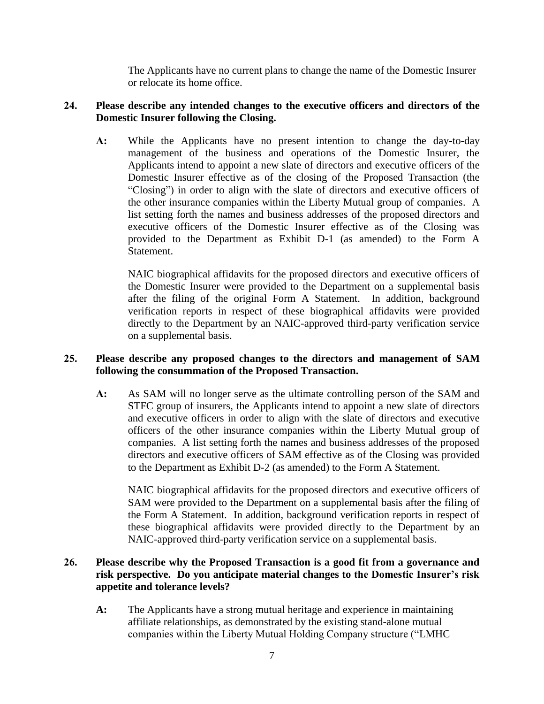The Applicants have no current plans to change the name of the Domestic Insurer or relocate its home office.

## **24. Please describe any intended changes to the executive officers and directors of the Domestic Insurer following the Closing.**

**A:** While the Applicants have no present intention to change the day-to-day management of the business and operations of the Domestic Insurer, the Applicants intend to appoint a new slate of directors and executive officers of the Domestic Insurer effective as of the closing of the Proposed Transaction (the "Closing") in order to align with the slate of directors and executive officers of the other insurance companies within the Liberty Mutual group of companies. A list setting forth the names and business addresses of the proposed directors and executive officers of the Domestic Insurer effective as of the Closing was provided to the Department as Exhibit D-1 (as amended) to the Form A Statement.

NAIC biographical affidavits for the proposed directors and executive officers of the Domestic Insurer were provided to the Department on a supplemental basis after the filing of the original Form A Statement. In addition, background verification reports in respect of these biographical affidavits were provided directly to the Department by an NAIC-approved third-party verification service on a supplemental basis.

# **25. Please describe any proposed changes to the directors and management of SAM following the consummation of the Proposed Transaction.**

**A:** As SAM will no longer serve as the ultimate controlling person of the SAM and STFC group of insurers, the Applicants intend to appoint a new slate of directors and executive officers in order to align with the slate of directors and executive officers of the other insurance companies within the Liberty Mutual group of companies. A list setting forth the names and business addresses of the proposed directors and executive officers of SAM effective as of the Closing was provided to the Department as Exhibit D-2 (as amended) to the Form A Statement.

NAIC biographical affidavits for the proposed directors and executive officers of SAM were provided to the Department on a supplemental basis after the filing of the Form A Statement. In addition, background verification reports in respect of these biographical affidavits were provided directly to the Department by an NAIC-approved third-party verification service on a supplemental basis.

# **26. Please describe why the Proposed Transaction is a good fit from a governance and risk perspective. Do you anticipate material changes to the Domestic Insurer's risk appetite and tolerance levels?**

**A:** The Applicants have a strong mutual heritage and experience in maintaining affiliate relationships, as demonstrated by the existing stand-alone mutual companies within the Liberty Mutual Holding Company structure ("LMHC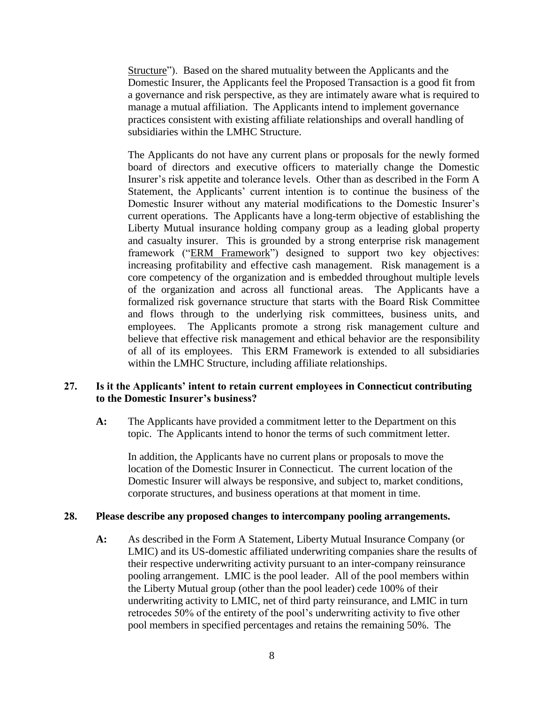Structure"). Based on the shared mutuality between the Applicants and the Domestic Insurer, the Applicants feel the Proposed Transaction is a good fit from a governance and risk perspective, as they are intimately aware what is required to manage a mutual affiliation. The Applicants intend to implement governance practices consistent with existing affiliate relationships and overall handling of subsidiaries within the LMHC Structure.

The Applicants do not have any current plans or proposals for the newly formed board of directors and executive officers to materially change the Domestic Insurer's risk appetite and tolerance levels. Other than as described in the Form A Statement, the Applicants' current intention is to continue the business of the Domestic Insurer without any material modifications to the Domestic Insurer's current operations. The Applicants have a long-term objective of establishing the Liberty Mutual insurance holding company group as a leading global property and casualty insurer. This is grounded by a strong enterprise risk management framework ("ERM Framework") designed to support two key objectives: increasing profitability and effective cash management. Risk management is a core competency of the organization and is embedded throughout multiple levels of the organization and across all functional areas. The Applicants have a formalized risk governance structure that starts with the Board Risk Committee and flows through to the underlying risk committees, business units, and employees. The Applicants promote a strong risk management culture and believe that effective risk management and ethical behavior are the responsibility of all of its employees. This ERM Framework is extended to all subsidiaries within the LMHC Structure, including affiliate relationships.

# **27. Is it the Applicants' intent to retain current employees in Connecticut contributing to the Domestic Insurer's business?**

**A:** The Applicants have provided a commitment letter to the Department on this topic. The Applicants intend to honor the terms of such commitment letter.

In addition, the Applicants have no current plans or proposals to move the location of the Domestic Insurer in Connecticut. The current location of the Domestic Insurer will always be responsive, and subject to, market conditions, corporate structures, and business operations at that moment in time.

#### **28. Please describe any proposed changes to intercompany pooling arrangements.**

**A:** As described in the Form A Statement, Liberty Mutual Insurance Company (or LMIC) and its US-domestic affiliated underwriting companies share the results of their respective underwriting activity pursuant to an inter-company reinsurance pooling arrangement. LMIC is the pool leader. All of the pool members within the Liberty Mutual group (other than the pool leader) cede 100% of their underwriting activity to LMIC, net of third party reinsurance, and LMIC in turn retrocedes 50% of the entirety of the pool's underwriting activity to five other pool members in specified percentages and retains the remaining 50%. The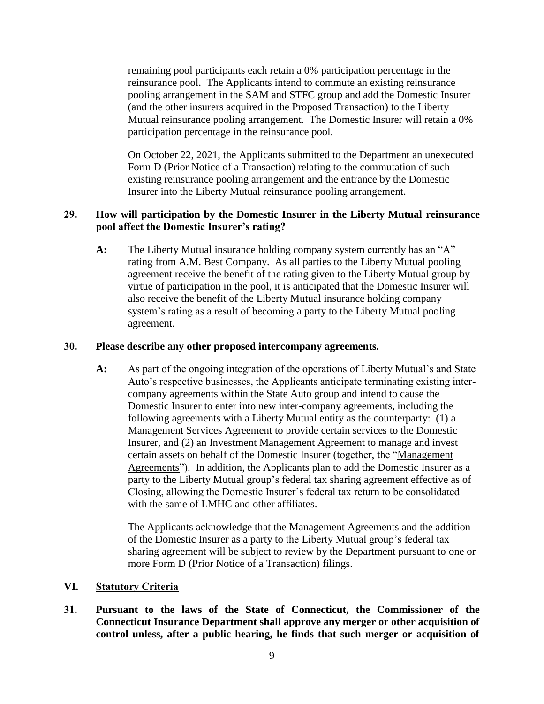remaining pool participants each retain a 0% participation percentage in the reinsurance pool. The Applicants intend to commute an existing reinsurance pooling arrangement in the SAM and STFC group and add the Domestic Insurer (and the other insurers acquired in the Proposed Transaction) to the Liberty Mutual reinsurance pooling arrangement. The Domestic Insurer will retain a 0% participation percentage in the reinsurance pool.

On October 22, 2021, the Applicants submitted to the Department an unexecuted Form D (Prior Notice of a Transaction) relating to the commutation of such existing reinsurance pooling arrangement and the entrance by the Domestic Insurer into the Liberty Mutual reinsurance pooling arrangement.

## **29. How will participation by the Domestic Insurer in the Liberty Mutual reinsurance pool affect the Domestic Insurer's rating?**

**A:** The Liberty Mutual insurance holding company system currently has an "A" rating from A.M. Best Company. As all parties to the Liberty Mutual pooling agreement receive the benefit of the rating given to the Liberty Mutual group by virtue of participation in the pool, it is anticipated that the Domestic Insurer will also receive the benefit of the Liberty Mutual insurance holding company system's rating as a result of becoming a party to the Liberty Mutual pooling agreement.

### **30. Please describe any other proposed intercompany agreements.**

**A:** As part of the ongoing integration of the operations of Liberty Mutual's and State Auto's respective businesses, the Applicants anticipate terminating existing intercompany agreements within the State Auto group and intend to cause the Domestic Insurer to enter into new inter-company agreements, including the following agreements with a Liberty Mutual entity as the counterparty: (1) a Management Services Agreement to provide certain services to the Domestic Insurer, and (2) an Investment Management Agreement to manage and invest certain assets on behalf of the Domestic Insurer (together, the "Management Agreements"). In addition, the Applicants plan to add the Domestic Insurer as a party to the Liberty Mutual group's federal tax sharing agreement effective as of Closing, allowing the Domestic Insurer's federal tax return to be consolidated with the same of LMHC and other affiliates.

The Applicants acknowledge that the Management Agreements and the addition of the Domestic Insurer as a party to the Liberty Mutual group's federal tax sharing agreement will be subject to review by the Department pursuant to one or more Form D (Prior Notice of a Transaction) filings.

## **VI. Statutory Criteria**

**31. Pursuant to the laws of the State of Connecticut, the Commissioner of the Connecticut Insurance Department shall approve any merger or other acquisition of control unless, after a public hearing, he finds that such merger or acquisition of**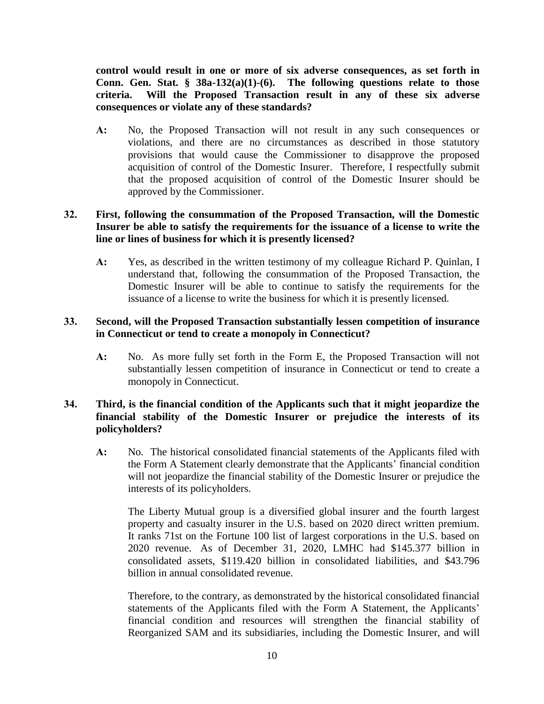**control would result in one or more of six adverse consequences, as set forth in Conn. Gen. Stat. § 38a-132(a)(1)-(6). The following questions relate to those criteria. Will the Proposed Transaction result in any of these six adverse consequences or violate any of these standards?** 

**A:** No, the Proposed Transaction will not result in any such consequences or violations, and there are no circumstances as described in those statutory provisions that would cause the Commissioner to disapprove the proposed acquisition of control of the Domestic Insurer. Therefore, I respectfully submit that the proposed acquisition of control of the Domestic Insurer should be approved by the Commissioner.

# **32. First, following the consummation of the Proposed Transaction, will the Domestic Insurer be able to satisfy the requirements for the issuance of a license to write the line or lines of business for which it is presently licensed?**

**A:** Yes, as described in the written testimony of my colleague Richard P. Quinlan, I understand that, following the consummation of the Proposed Transaction, the Domestic Insurer will be able to continue to satisfy the requirements for the issuance of a license to write the business for which it is presently licensed.

### **33. Second, will the Proposed Transaction substantially lessen competition of insurance in Connecticut or tend to create a monopoly in Connecticut?**

**A:** No. As more fully set forth in the Form E, the Proposed Transaction will not substantially lessen competition of insurance in Connecticut or tend to create a monopoly in Connecticut.

## **34. Third, is the financial condition of the Applicants such that it might jeopardize the financial stability of the Domestic Insurer or prejudice the interests of its policyholders?**

**A:** No. The historical consolidated financial statements of the Applicants filed with the Form A Statement clearly demonstrate that the Applicants' financial condition will not jeopardize the financial stability of the Domestic Insurer or prejudice the interests of its policyholders.

The Liberty Mutual group is a diversified global insurer and the fourth largest property and casualty insurer in the U.S. based on 2020 direct written premium. It ranks 71st on the Fortune 100 list of largest corporations in the U.S. based on 2020 revenue. As of December 31, 2020, LMHC had \$145.377 billion in consolidated assets, \$119.420 billion in consolidated liabilities, and \$43.796 billion in annual consolidated revenue.

Therefore, to the contrary, as demonstrated by the historical consolidated financial statements of the Applicants filed with the Form A Statement, the Applicants' financial condition and resources will strengthen the financial stability of Reorganized SAM and its subsidiaries, including the Domestic Insurer, and will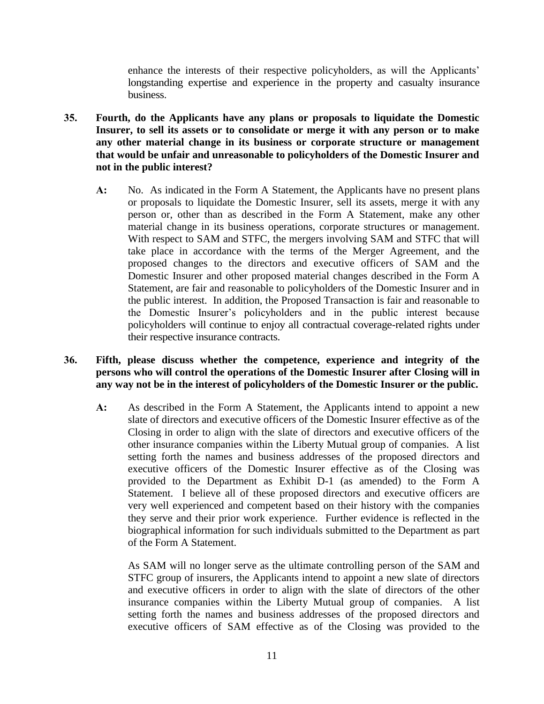enhance the interests of their respective policyholders, as will the Applicants' longstanding expertise and experience in the property and casualty insurance business.

- **35. Fourth, do the Applicants have any plans or proposals to liquidate the Domestic Insurer, to sell its assets or to consolidate or merge it with any person or to make any other material change in its business or corporate structure or management that would be unfair and unreasonable to policyholders of the Domestic Insurer and not in the public interest?**
	- **A:** No. As indicated in the Form A Statement, the Applicants have no present plans or proposals to liquidate the Domestic Insurer, sell its assets, merge it with any person or, other than as described in the Form A Statement, make any other material change in its business operations, corporate structures or management. With respect to SAM and STFC, the mergers involving SAM and STFC that will take place in accordance with the terms of the Merger Agreement, and the proposed changes to the directors and executive officers of SAM and the Domestic Insurer and other proposed material changes described in the Form A Statement, are fair and reasonable to policyholders of the Domestic Insurer and in the public interest. In addition, the Proposed Transaction is fair and reasonable to the Domestic Insurer's policyholders and in the public interest because policyholders will continue to enjoy all contractual coverage-related rights under their respective insurance contracts.

## **36. Fifth, please discuss whether the competence, experience and integrity of the persons who will control the operations of the Domestic Insurer after Closing will in any way not be in the interest of policyholders of the Domestic Insurer or the public.**

**A:** As described in the Form A Statement, the Applicants intend to appoint a new slate of directors and executive officers of the Domestic Insurer effective as of the Closing in order to align with the slate of directors and executive officers of the other insurance companies within the Liberty Mutual group of companies. A list setting forth the names and business addresses of the proposed directors and executive officers of the Domestic Insurer effective as of the Closing was provided to the Department as Exhibit D-1 (as amended) to the Form A Statement. I believe all of these proposed directors and executive officers are very well experienced and competent based on their history with the companies they serve and their prior work experience. Further evidence is reflected in the biographical information for such individuals submitted to the Department as part of the Form A Statement.

As SAM will no longer serve as the ultimate controlling person of the SAM and STFC group of insurers, the Applicants intend to appoint a new slate of directors and executive officers in order to align with the slate of directors of the other insurance companies within the Liberty Mutual group of companies. A list setting forth the names and business addresses of the proposed directors and executive officers of SAM effective as of the Closing was provided to the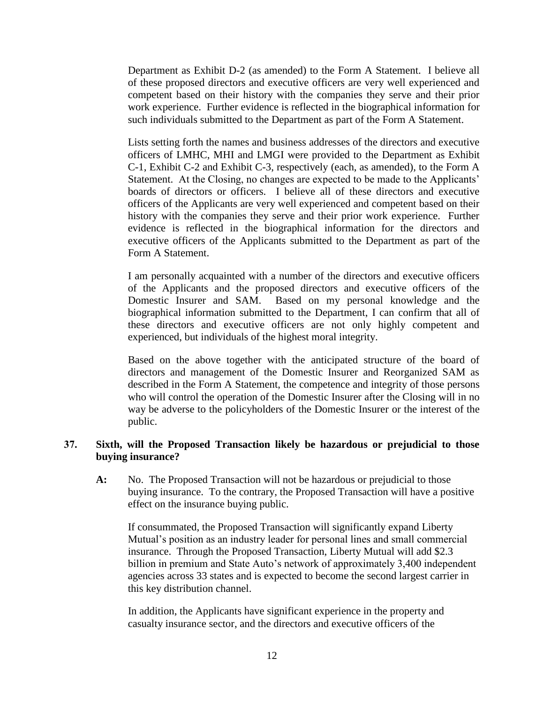Department as Exhibit D-2 (as amended) to the Form A Statement. I believe all of these proposed directors and executive officers are very well experienced and competent based on their history with the companies they serve and their prior work experience. Further evidence is reflected in the biographical information for such individuals submitted to the Department as part of the Form A Statement.

Lists setting forth the names and business addresses of the directors and executive officers of LMHC, MHI and LMGI were provided to the Department as Exhibit C-1, Exhibit C-2 and Exhibit C-3, respectively (each, as amended), to the Form A Statement. At the Closing, no changes are expected to be made to the Applicants' boards of directors or officers. I believe all of these directors and executive officers of the Applicants are very well experienced and competent based on their history with the companies they serve and their prior work experience. Further evidence is reflected in the biographical information for the directors and executive officers of the Applicants submitted to the Department as part of the Form A Statement.

I am personally acquainted with a number of the directors and executive officers of the Applicants and the proposed directors and executive officers of the Domestic Insurer and SAM. Based on my personal knowledge and the biographical information submitted to the Department, I can confirm that all of these directors and executive officers are not only highly competent and experienced, but individuals of the highest moral integrity.

Based on the above together with the anticipated structure of the board of directors and management of the Domestic Insurer and Reorganized SAM as described in the Form A Statement, the competence and integrity of those persons who will control the operation of the Domestic Insurer after the Closing will in no way be adverse to the policyholders of the Domestic Insurer or the interest of the public.

## **37. Sixth, will the Proposed Transaction likely be hazardous or prejudicial to those buying insurance?**

**A:** No. The Proposed Transaction will not be hazardous or prejudicial to those buying insurance. To the contrary, the Proposed Transaction will have a positive effect on the insurance buying public.

If consummated, the Proposed Transaction will significantly expand Liberty Mutual's position as an industry leader for personal lines and small commercial insurance. Through the Proposed Transaction, Liberty Mutual will add \$2.3 billion in premium and State Auto's network of approximately 3,400 independent agencies across 33 states and is expected to become the second largest carrier in this key distribution channel.

In addition, the Applicants have significant experience in the property and casualty insurance sector, and the directors and executive officers of the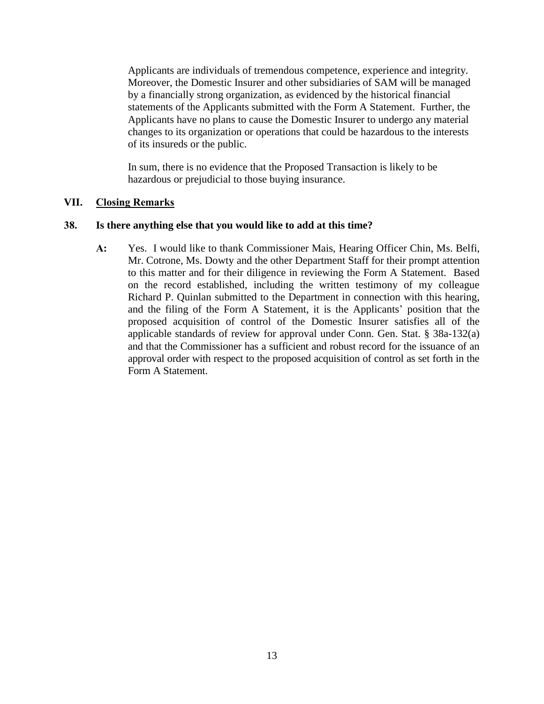Applicants are individuals of tremendous competence, experience and integrity. Moreover, the Domestic Insurer and other subsidiaries of SAM will be managed by a financially strong organization, as evidenced by the historical financial statements of the Applicants submitted with the Form A Statement. Further, the Applicants have no plans to cause the Domestic Insurer to undergo any material changes to its organization or operations that could be hazardous to the interests of its insureds or the public.

In sum, there is no evidence that the Proposed Transaction is likely to be hazardous or prejudicial to those buying insurance.

## **VII. Closing Remarks**

#### **38. Is there anything else that you would like to add at this time?**

**A:** Yes. I would like to thank Commissioner Mais, Hearing Officer Chin, Ms. Belfi, Mr. Cotrone, Ms. Dowty and the other Department Staff for their prompt attention to this matter and for their diligence in reviewing the Form A Statement. Based on the record established, including the written testimony of my colleague Richard P. Quinlan submitted to the Department in connection with this hearing, and the filing of the Form A Statement, it is the Applicants' position that the proposed acquisition of control of the Domestic Insurer satisfies all of the applicable standards of review for approval under Conn. Gen. Stat. § 38a-132(a) and that the Commissioner has a sufficient and robust record for the issuance of an approval order with respect to the proposed acquisition of control as set forth in the Form A Statement.